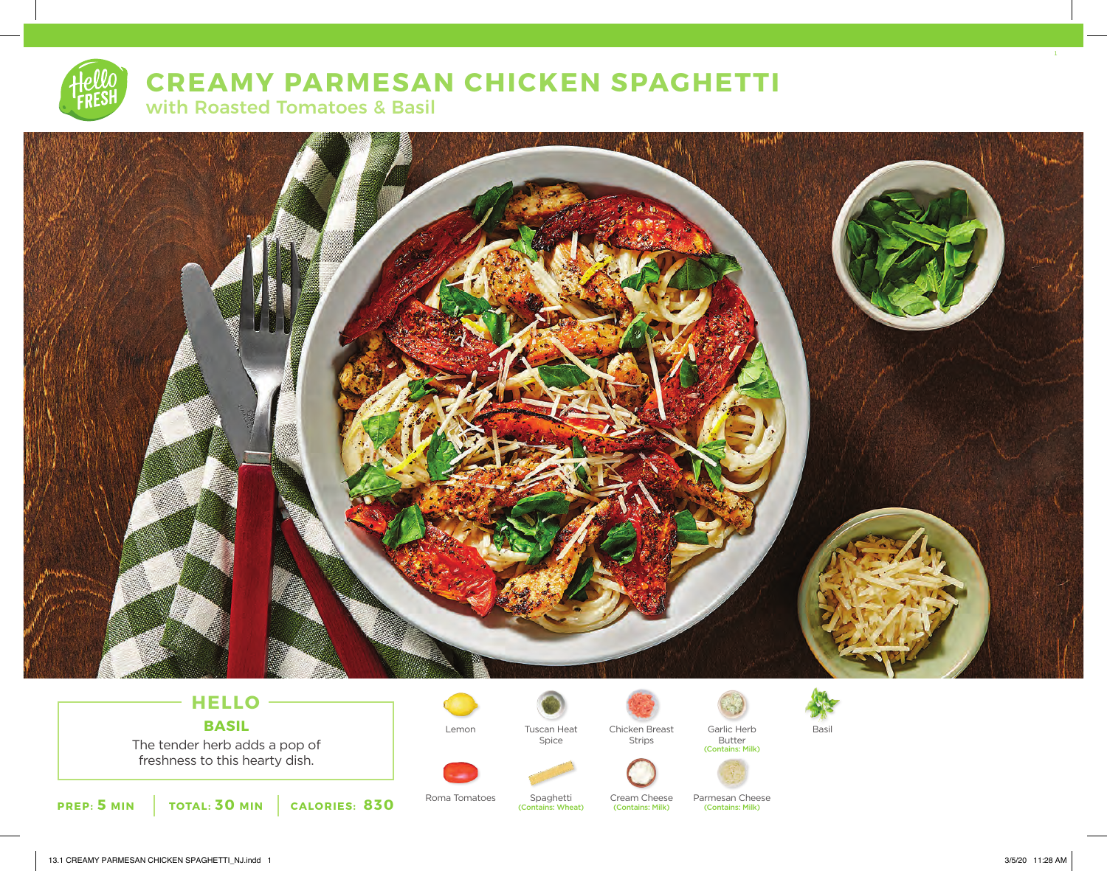# **CREAMY PARMESAN CHICKEN SPAGHETTI**  with Roasted Tomatoes & Basil



## **HELLO BASIL**

The tender herb adds a pop of freshness to this hearty dish.



Roma Tomatoes Spaghetti Cream Cheese Parmesan Cheese

Spice

Spaghetti (Contains: Wheat)



Strips

(Contains: Milk)

Cream Cheese



Butter (Contains: Milk)

(Contains: Milk)

Lemon Garlic Herb Chicken Breast Tuscan Heat Basil

1